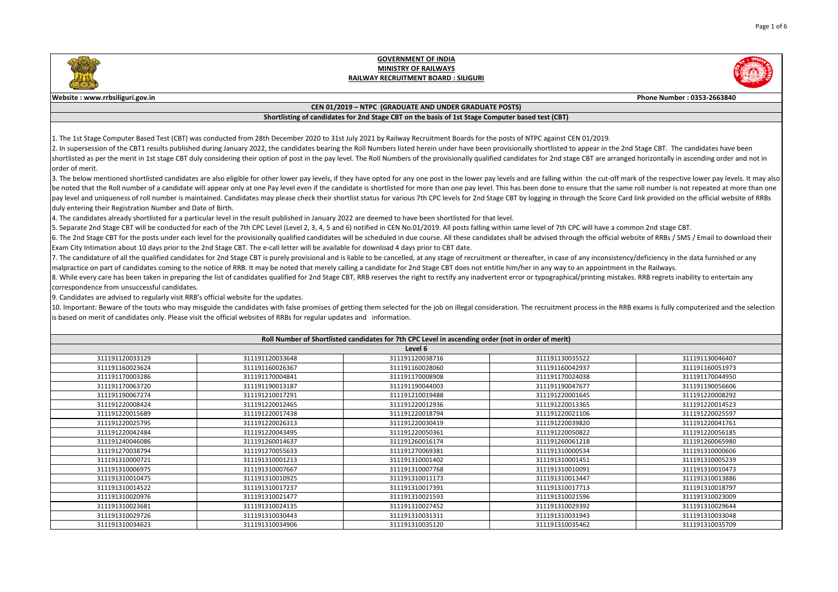| Phone Number: 0353-2663840                                                                                                                                                                                 |                                                                                                                         |  |  |
|------------------------------------------------------------------------------------------------------------------------------------------------------------------------------------------------------------|-------------------------------------------------------------------------------------------------------------------------|--|--|
|                                                                                                                                                                                                            |                                                                                                                         |  |  |
|                                                                                                                                                                                                            |                                                                                                                         |  |  |
|                                                                                                                                                                                                            |                                                                                                                         |  |  |
| N 01/2019.                                                                                                                                                                                                 | appear in the 2nd Stage CBT. The candidates have been<br>ge CBT are arranged horizontally in ascending order and not in |  |  |
| in the cut-off mark of the respective lower pay levels. It may also<br>sure that the same roll number is not repeated at more than one<br>ugh the Score Card link provided on the official website of RRBs |                                                                                                                         |  |  |
| C will have a common 2nd stage CBT.                                                                                                                                                                        | igh the official website of RRBs / SMS / Email to download their                                                        |  |  |
| f any inconsistency/deficiency in the data furnished or any<br>an appointment in the Railways.<br>Il/printing mistakes. RRB regrets inability to entertain any                                             |                                                                                                                         |  |  |
|                                                                                                                                                                                                            | process in the RRB exams is fully computerized and the selection                                                        |  |  |
|                                                                                                                                                                                                            |                                                                                                                         |  |  |
|                                                                                                                                                                                                            |                                                                                                                         |  |  |
| 5522                                                                                                                                                                                                       | 311191130046407                                                                                                         |  |  |
| 2937                                                                                                                                                                                                       | 311191160051973                                                                                                         |  |  |
| 4038                                                                                                                                                                                                       | 311191170044950                                                                                                         |  |  |
| 7677                                                                                                                                                                                                       | 311191190056606                                                                                                         |  |  |
| 1645                                                                                                                                                                                                       | 311191220008292                                                                                                         |  |  |
| 3365                                                                                                                                                                                                       | 311191220014523                                                                                                         |  |  |
| 1106                                                                                                                                                                                                       | 311191220025597                                                                                                         |  |  |
| 9820                                                                                                                                                                                                       | 311191220041761                                                                                                         |  |  |
| 0822                                                                                                                                                                                                       | 311191220056185                                                                                                         |  |  |
| 1218                                                                                                                                                                                                       | 311191260065980                                                                                                         |  |  |
| 0534                                                                                                                                                                                                       | 311191310000606                                                                                                         |  |  |
| 1451                                                                                                                                                                                                       | 311191310005239                                                                                                         |  |  |
| 0091                                                                                                                                                                                                       | 311191310010473                                                                                                         |  |  |
| 3447                                                                                                                                                                                                       | 311191310013886                                                                                                         |  |  |
| 7713                                                                                                                                                                                                       | 311191310018797                                                                                                         |  |  |
| 1596                                                                                                                                                                                                       | 311191310023009                                                                                                         |  |  |
| 9392                                                                                                                                                                                                       | 311191310029644                                                                                                         |  |  |
| 1943                                                                                                                                                                                                       | 311191310033048                                                                                                         |  |  |
| 5462                                                                                                                                                                                                       | 311191310035709                                                                                                         |  |  |

3. The below mentioned shortlisted candidates are also eligible for other lower pay levels, if they have opted for any one post in the lower pay levels and are falling with be noted that the Roll number of a candidate will appear only at one Pay level even if the candidate is shortlisted for more than one pay level. This has been done to ens pay level and uniqueness of roll number is maintained. Candidates may please check their shortlist status for various 7th CPC levels for 2nd Stage CBT by logging in throu duly entering their Registration Number and Date of Birth.

4. The candidates already shortlisted for a particular level in the result published in January 2022 are deemed to have been shortlisted for that level.

5. Separate 2nd Stage CBT will be conducted for each of the 7th CPC Level (Level 2, 3, 4, 5 and 6) notified in CEN No.01/2019. All posts falling within same level of 7th CP 6. The 2nd Stage CBT for the posts under each level for the provisionally qualified candidates will be scheduled in due course. All these candidates shall be advised throu Exam City Intimation about 10 days prior to the 2nd Stage CBT. The e-call letter will be available for download 4 days prior to CBT date.

7. The candidature of all the qualified candidates for 2nd Stage CBT is purely provisional and is liable to be cancelled, at any stage of recruitment or thereafter, in case of  $\vert$ malpractice on part of candidates coming to the notice of RRB. It may be noted that merely calling a candidate for 2nd Stage CBT does not entitle him/her in any way to 8. While every care has been taken in preparing the list of candidates qualified for 2nd Stage CBT, RRB reserves the right to rectify any inadvertent error or typographica correspondence from unsuccessful candidates.

10. Important: Beware of the touts who may misguide the candidates with false promises of getting them selected for the job on illegal consideration. The recruitment p is based on merit of candidates only. Please visit the official websites of RRBs for regular updates and information.

| Roll Number of Shortlisted candidates for 7th CPC Level in ascending order (not in order of merit) |                 |                 |                 |                 |
|----------------------------------------------------------------------------------------------------|-----------------|-----------------|-----------------|-----------------|
| Level 6                                                                                            |                 |                 |                 |                 |
| 311191120033129                                                                                    | 311191120033648 | 311191120038716 | 311191130035522 | 311191130046407 |
| 311191160023624                                                                                    | 311191160026367 | 311191160028060 | 311191160042937 | 311191160051973 |
| 311191170003286                                                                                    | 311191170004841 | 311191170008908 | 311191170024038 | 311191170044950 |
| 311191170063720                                                                                    | 311191190013187 | 311191190044003 | 311191190047677 | 311191190056606 |
| 311191190067274                                                                                    | 311191210017291 | 311191210019488 | 311191220001645 | 311191220008292 |
| 311191220008424                                                                                    | 311191220012465 | 311191220012936 | 311191220013365 | 311191220014523 |
| 311191220015689                                                                                    | 311191220017438 | 311191220018794 | 311191220021106 | 311191220025597 |
| 311191220025795                                                                                    | 311191220026313 | 311191220030419 | 311191220039820 | 311191220041761 |
| 311191220042484                                                                                    | 311191220043495 | 311191220050361 | 311191220050822 | 311191220056185 |
| 311191240046086                                                                                    | 311191260014637 | 311191260016174 | 311191260061218 | 311191260065980 |
| 311191270038794                                                                                    | 311191270055633 | 311191270069381 | 311191310000534 | 311191310000606 |
| 311191310000721                                                                                    | 311191310001213 | 311191310001402 | 311191310001451 | 311191310005239 |
| 311191310006975                                                                                    | 311191310007667 | 311191310007768 | 311191310010091 | 311191310010473 |
| 311191310010475                                                                                    | 311191310010925 | 311191310011173 | 311191310013447 | 311191310013886 |
| 311191310014522                                                                                    | 311191310017237 | 311191310017391 | 311191310017713 | 311191310018797 |
| 311191310020976                                                                                    | 311191310021477 | 311191310021593 | 311191310021596 | 311191310023009 |
| 311191310023681                                                                                    | 311191310024135 | 311191310027452 | 311191310029392 | 311191310029644 |
| 311191310029726                                                                                    | 311191310030443 | 311191310031311 | 311191310031943 | 311191310033048 |
| 311191310034623                                                                                    | 311191310034906 | 311191310035120 | 311191310035462 | 311191310035709 |

9. Candidates are advised to regularly visit RRB's official website for the updates.



## **GOVERNMENT OF INDIA MINISTRY OF RAILWAYS RAILWAY RECRUITMENT BOARD : SILIGURI**

## **Website : www.rrbsiliguri.gov.in**

#### **CEN 01/2019 – NTPC (GRADUATE AND UNDER GRADUATE POSTS)**

## **Shortlisting of candidates for 2nd Stage CBT on the basis of 1st Stage Computer based test (CBT)**

1. The 1st Stage Computer Based Test (CBT) was conducted from 28th December 2020 to 31st July 2021 by Railway Recruitment Boards for the posts of NTPC against CE 2. In supersession of the CBT1 results published during January 2022, the candidates bearing the Roll Numbers listed herein under have been provisionally shortlisted to shortlisted as per the merit in 1st stage CBT duly considering their option of post in the pay level. The Roll Numbers of the provisionally qualified candidates for 2nd stag lorder of merit.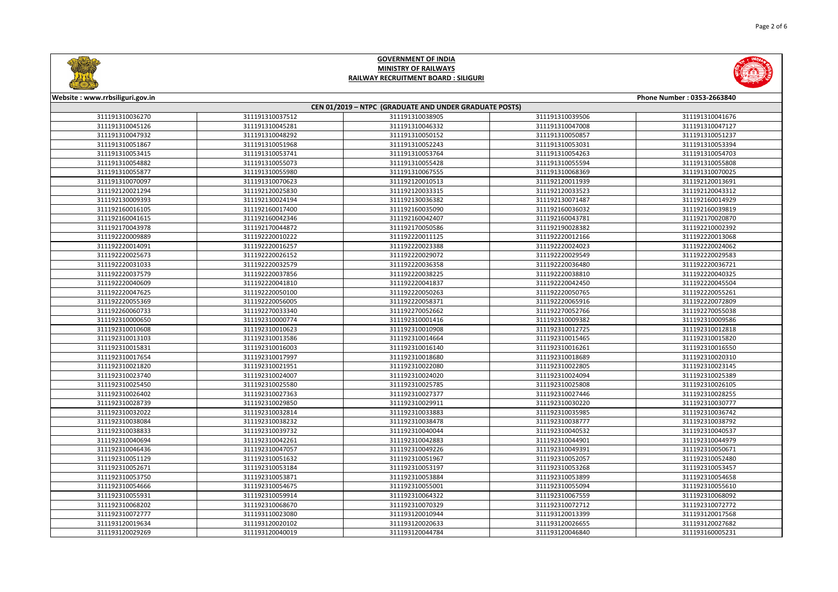



| Website: www.rrbsiliguri.gov.in                        |                 |                 |                 | Phone Number: 0353-2663840 |  |
|--------------------------------------------------------|-----------------|-----------------|-----------------|----------------------------|--|
| CEN 01/2019 - NTPC (GRADUATE AND UNDER GRADUATE POSTS) |                 |                 |                 |                            |  |
| 311191310036270                                        | 311191310037512 | 311191310038905 | 311191310039506 | 311191310041676            |  |
| 311191310045126                                        | 311191310045281 | 311191310046332 | 311191310047008 | 311191310047127            |  |
| 311191310047932                                        | 311191310048292 | 311191310050152 | 311191310050857 | 311191310051237            |  |
| 311191310051867                                        | 311191310051968 | 311191310052243 | 311191310053031 | 311191310053394            |  |
| 311191310053415                                        | 311191310053741 | 311191310053764 | 311191310054263 | 311191310054703            |  |
| 311191310054882                                        | 311191310055073 | 311191310055428 | 311191310055594 | 311191310055808            |  |
| 311191310055877                                        | 311191310055980 | 311191310067555 | 311191310068369 | 311191310070025            |  |
| 311191310070097                                        | 311191310070623 | 311192120010513 | 311192120011939 | 311192120013691            |  |
| 311192120021294                                        | 311192120025830 | 311192120033315 | 311192120033523 | 311192120043312            |  |
| 311192130009393                                        | 311192130024194 | 311192130036382 | 311192130071487 | 311192160014929            |  |
| 311192160016105                                        | 311192160017400 | 311192160035090 | 311192160036032 | 311192160039819            |  |
| 311192160041615                                        | 311192160042346 | 311192160042407 | 311192160043781 | 311192170020870            |  |
| 311192170043978                                        | 311192170044872 | 311192170050586 | 311192190028382 | 311192210002392            |  |
| 311192220009889                                        | 311192220010222 | 311192220011125 | 311192220012166 | 311192220013068            |  |
| 311192220014091                                        | 311192220016257 | 311192220023388 | 311192220024023 | 311192220024062            |  |
| 311192220025673                                        | 311192220026152 | 311192220029072 | 311192220029549 | 311192220029583            |  |
| 311192220031033                                        | 311192220032579 | 311192220036358 | 311192220036480 | 311192220036721            |  |
| 311192220037579                                        | 311192220037856 | 311192220038225 | 311192220038810 | 311192220040325            |  |
| 311192220040609                                        | 311192220041810 | 311192220041837 | 311192220042450 | 311192220045504            |  |
| 311192220047625                                        | 311192220050100 | 311192220050263 | 311192220050765 | 311192220055261            |  |
| 311192220055369                                        | 311192220056005 | 311192220058371 | 311192220065916 | 311192220072809            |  |
| 311192260060733                                        | 311192270033340 | 311192270052662 | 311192270052766 | 311192270055038            |  |
| 311192310000650                                        | 311192310000774 | 311192310001416 | 311192310009382 | 311192310009586            |  |
| 311192310010608                                        | 311192310010623 | 311192310010908 | 311192310012725 | 311192310012818            |  |
| 311192310013103                                        | 311192310013586 | 311192310014664 | 311192310015465 | 311192310015820            |  |
| 311192310015831                                        | 311192310016003 | 311192310016140 | 311192310016261 | 311192310016550            |  |
| 311192310017654                                        | 311192310017997 | 311192310018680 | 311192310018689 | 311192310020310            |  |
| 311192310021820                                        | 311192310021951 | 311192310022080 | 311192310022805 | 311192310023145            |  |
| 311192310023740                                        | 311192310024007 | 311192310024020 | 311192310024094 | 311192310025389            |  |
| 311192310025450                                        | 311192310025580 | 311192310025785 | 311192310025808 | 311192310026105            |  |
| 311192310026402                                        | 311192310027363 | 311192310027377 | 311192310027446 | 311192310028255            |  |
| 311192310028739                                        | 311192310029850 | 311192310029911 | 311192310030220 | 311192310030777            |  |
| 311192310032022                                        | 311192310032814 | 311192310033883 | 311192310035985 | 311192310036742            |  |
| 311192310038084                                        | 311192310038232 | 311192310038478 | 311192310038777 | 311192310038792            |  |
| 311192310038833                                        | 311192310039732 | 311192310040044 | 311192310040532 | 311192310040537            |  |
| 311192310040694                                        | 311192310042261 | 311192310042883 | 311192310044901 | 311192310044979            |  |
| 311192310046436                                        | 311192310047057 | 311192310049226 | 311192310049391 | 311192310050671            |  |
| 311192310051129                                        | 311192310051632 | 311192310051967 | 311192310052057 | 311192310052480            |  |
| 311192310052671                                        | 311192310053184 | 311192310053197 | 311192310053268 | 311192310053457            |  |
| 311192310053750                                        | 311192310053871 | 311192310053884 | 311192310053899 | 311192310054658            |  |
| 311192310054666                                        | 311192310054675 | 311192310055001 | 311192310055094 | 311192310055610            |  |
| 311192310055931                                        | 311192310059914 | 311192310064322 | 311192310067559 | 311192310068092            |  |
| 311192310068202                                        | 311192310068670 | 311192310070329 | 311192310072712 | 311192310072772            |  |
| 311192310072777                                        | 311193110023080 | 311193120010944 | 311193120013399 | 311193120017568            |  |
| 311193120019634                                        | 311193120020102 | 311193120020633 | 311193120026655 | 311193120027682            |  |
| 311193120029269                                        | 311193120040019 | 311193120044784 | 311193120046840 | 311193160005231            |  |
|                                                        |                 |                 |                 |                            |  |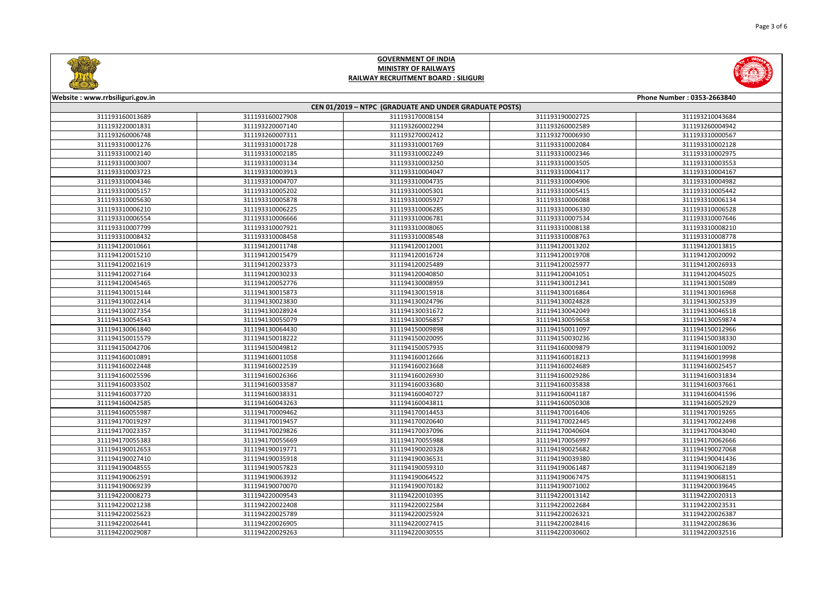



| Website: www.rrbsiliguri.gov.in                        |                 |                 |                 | Phone Number: 0353-2663840 |
|--------------------------------------------------------|-----------------|-----------------|-----------------|----------------------------|
| CEN 01/2019 - NTPC (GRADUATE AND UNDER GRADUATE POSTS) |                 |                 |                 |                            |
| 311193160013689                                        | 311193160027908 | 311193170008154 | 311193190002725 | 311193210043684            |
| 311193220001831                                        | 311193220007140 | 311193260002294 | 311193260002589 | 311193260004942            |
| 311193260006748                                        | 311193260007311 | 311193270002412 | 311193270006930 | 311193310000567            |
| 311193310001276                                        | 311193310001728 | 311193310001769 | 311193310002084 | 311193310002128            |
| 311193310002140                                        | 311193310002185 | 311193310002249 | 311193310002346 | 311193310002975            |
| 311193310003007                                        | 311193310003134 | 311193310003250 | 311193310003505 | 311193310003553            |
| 311193310003723                                        | 311193310003913 | 311193310004047 | 311193310004117 | 311193310004167            |
| 311193310004346                                        | 311193310004707 | 311193310004735 | 311193310004906 | 311193310004982            |
| 311193310005157                                        | 311193310005202 | 311193310005301 | 311193310005415 | 311193310005442            |
| 311193310005630                                        | 311193310005878 | 311193310005927 | 311193310006088 | 311193310006134            |
| 311193310006210                                        | 311193310006225 | 311193310006285 | 311193310006330 | 311193310006528            |
| 311193310006554                                        | 311193310006666 | 311193310006781 | 311193310007534 | 311193310007646            |
| 311193310007799                                        | 311193310007921 | 311193310008065 | 311193310008138 | 311193310008210            |
| 311193310008432                                        | 311193310008458 | 311193310008548 | 311193310008763 | 311193310008778            |
| 311194120010661                                        | 311194120011748 | 311194120012001 | 311194120013202 | 311194120013815            |
| 311194120015210                                        | 311194120015479 | 311194120016724 | 311194120019708 | 311194120020092            |
| 311194120021619                                        | 311194120023373 | 311194120025489 | 311194120025977 | 311194120026933            |
| 311194120027164                                        | 311194120030233 | 311194120040850 | 311194120041051 | 311194120045025            |
| 311194120045465                                        | 311194120052776 | 311194130008959 | 311194130012341 | 311194130015089            |
| 311194130015144                                        | 311194130015873 | 311194130015918 | 311194130016864 | 311194130016968            |
| 311194130022414                                        | 311194130023830 | 311194130024796 | 311194130024828 | 311194130025339            |
| 311194130027354                                        | 311194130028924 | 311194130031672 | 311194130042049 | 311194130046518            |
| 311194130054543                                        | 311194130055079 | 311194130056857 | 311194130059658 | 311194130059874            |
| 311194130061840                                        | 311194130064430 | 311194150009898 | 311194150011097 | 311194150012966            |
| 311194150015579                                        | 311194150018222 | 311194150020095 | 311194150030236 | 311194150038330            |
| 311194150042706                                        | 311194150049812 | 311194150057935 | 311194160009879 | 311194160010092            |
| 311194160010891                                        | 311194160011058 | 311194160012666 | 311194160018213 | 311194160019998            |
| 311194160022448                                        | 311194160022539 | 311194160023668 | 311194160024689 | 311194160025457            |
| 311194160025596                                        | 311194160026366 | 311194160026930 | 311194160029286 | 311194160031834            |
| 311194160033502                                        | 311194160033587 | 311194160033680 | 311194160035838 | 311194160037661            |
| 311194160037720                                        | 311194160038331 | 311194160040727 | 311194160041187 | 311194160041596            |
| 311194160042585                                        | 311194160043263 | 311194160043811 | 311194160050308 | 311194160052929            |
| 311194160055987                                        | 311194170009462 | 311194170014453 | 311194170016406 | 311194170019265            |
| 311194170019297                                        | 311194170019457 | 311194170020640 | 311194170022445 | 311194170022498            |
| 311194170023357                                        | 311194170029826 | 311194170037096 | 311194170040604 | 311194170043040            |
| 311194170055383                                        | 311194170055669 | 311194170055988 | 311194170056997 | 311194170062666            |
| 311194190012653                                        | 311194190019771 | 311194190020328 | 311194190025682 | 311194190027068            |
| 311194190027410                                        | 311194190035918 | 311194190036531 | 311194190039380 | 311194190041436            |
| 311194190048555                                        | 311194190057823 | 311194190059310 | 311194190061487 | 311194190062189            |
| 311194190062591                                        | 311194190063932 | 311194190064522 | 311194190067475 | 311194190068151            |
| 311194190069239                                        | 311194190070070 | 311194190070182 | 311194190071002 | 311194200039645            |
| 311194220008273                                        | 311194220009543 | 311194220010395 | 311194220013142 | 311194220020313            |
| 311194220021238                                        | 311194220022408 | 311194220022584 | 311194220022684 | 311194220023531            |
| 311194220025623                                        | 311194220025789 | 311194220025924 | 311194220026321 | 311194220026387            |
| 311194220026441                                        | 311194220026905 | 311194220027415 | 311194220028416 | 311194220028636            |
| 311194220029087                                        | 311194220029263 | 311194220030555 | 311194220030602 | 311194220032516            |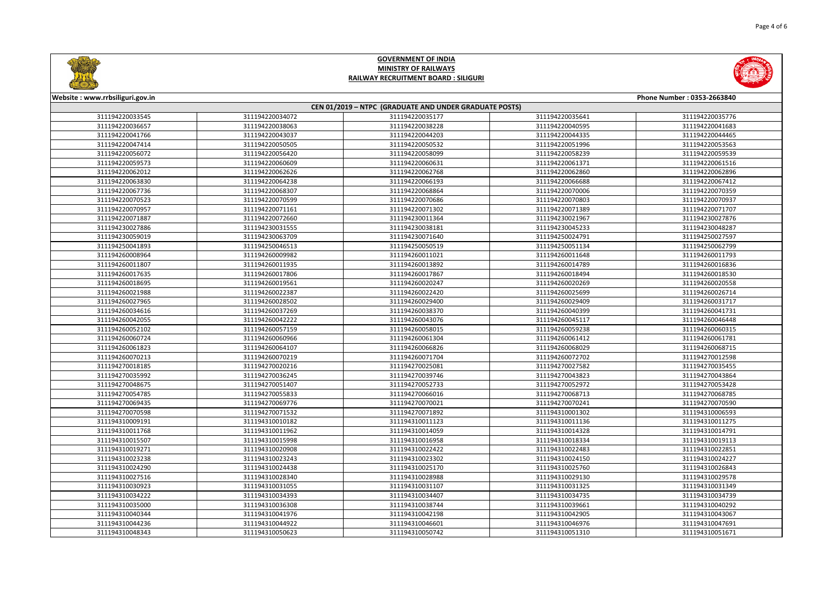



| Website: www.rrbsiliguri.gov.in<br>Phone Number: 0353-2663840 |                 |                 |                 |                 |  |
|---------------------------------------------------------------|-----------------|-----------------|-----------------|-----------------|--|
| CEN 01/2019 - NTPC (GRADUATE AND UNDER GRADUATE POSTS)        |                 |                 |                 |                 |  |
| 311194220033545                                               | 311194220034072 | 311194220035177 | 311194220035641 | 311194220035776 |  |
| 311194220036657                                               | 311194220038063 | 311194220038228 | 311194220040595 | 311194220041683 |  |
| 311194220041766                                               | 311194220043037 | 311194220044203 | 311194220044335 | 311194220044465 |  |
| 311194220047414                                               | 311194220050505 | 311194220050532 | 311194220051996 | 311194220053563 |  |
| 311194220056072                                               | 311194220056420 | 311194220058099 | 311194220058239 | 311194220059539 |  |
| 311194220059573                                               | 311194220060609 | 311194220060631 | 311194220061371 | 311194220061516 |  |
| 311194220062012                                               | 311194220062626 | 311194220062768 | 311194220062860 | 311194220062896 |  |
| 311194220063830                                               | 311194220064238 | 311194220066193 | 311194220066688 | 311194220067412 |  |
| 311194220067736                                               | 311194220068307 | 311194220068864 | 311194220070006 | 311194220070359 |  |
| 311194220070523                                               | 311194220070599 | 311194220070686 | 311194220070803 | 311194220070937 |  |
| 311194220070957                                               | 311194220071161 | 311194220071302 | 311194220071389 | 311194220071707 |  |
| 311194220071887                                               | 311194220072660 | 311194230011364 | 311194230021967 | 311194230027876 |  |
| 311194230027886                                               | 311194230031555 | 311194230038181 | 311194230045233 | 311194230048287 |  |
| 311194230059019                                               | 311194230063709 | 311194230071640 | 311194250024791 | 311194250027597 |  |
| 311194250041893                                               | 311194250046513 | 311194250050519 | 311194250051134 | 311194250062799 |  |
| 311194260008964                                               | 311194260009982 | 311194260011021 | 311194260011648 | 311194260011793 |  |
| 311194260011807                                               | 311194260011935 | 311194260013892 | 311194260014789 | 311194260016836 |  |
| 311194260017635                                               | 311194260017806 | 311194260017867 | 311194260018494 | 311194260018530 |  |
| 311194260018695                                               | 311194260019561 | 311194260020247 | 311194260020269 | 311194260020558 |  |
| 311194260021988                                               | 311194260022387 | 311194260022420 | 311194260025699 | 311194260026714 |  |
| 311194260027965                                               | 311194260028502 | 311194260029400 | 311194260029409 | 311194260031717 |  |
| 311194260034616                                               | 311194260037269 | 311194260038370 | 311194260040399 | 311194260041731 |  |
| 311194260042055                                               | 311194260042222 | 311194260043076 | 311194260045117 | 311194260046448 |  |
| 311194260052102                                               | 311194260057159 | 311194260058015 | 311194260059238 | 311194260060315 |  |
| 311194260060724                                               | 311194260060966 | 311194260061304 | 311194260061412 | 311194260061781 |  |
| 311194260061823                                               | 311194260064107 | 311194260066826 | 311194260068029 | 311194260068715 |  |
| 311194260070213                                               | 311194260070219 | 311194260071704 | 311194260072702 | 311194270012598 |  |
| 311194270018185                                               | 311194270020216 | 311194270025081 | 311194270027582 | 311194270035455 |  |
| 311194270035992                                               | 311194270036245 | 311194270039746 | 311194270043823 | 311194270043864 |  |
| 311194270048675                                               | 311194270051407 | 311194270052733 | 311194270052972 | 311194270053428 |  |
| 311194270054785                                               | 311194270055833 | 311194270066016 | 311194270068713 | 311194270068785 |  |
| 311194270069435                                               | 311194270069776 | 311194270070021 | 311194270070241 | 311194270070590 |  |
| 311194270070598                                               | 311194270071532 | 311194270071892 | 311194310001302 | 311194310006593 |  |
| 311194310009191                                               | 311194310010182 | 311194310011123 | 311194310011136 | 311194310011275 |  |
| 311194310011768                                               | 311194310011962 | 311194310014059 | 311194310014328 | 311194310014791 |  |
| 311194310015507                                               | 311194310015998 | 311194310016958 | 311194310018334 | 311194310019113 |  |
| 311194310019271                                               | 311194310020908 | 311194310022422 | 311194310022483 | 311194310022851 |  |
| 311194310023238                                               | 311194310023243 | 311194310023302 | 311194310024150 | 311194310024227 |  |
| 311194310024290                                               | 311194310024438 | 311194310025170 | 311194310025760 | 311194310026843 |  |
| 311194310027516                                               | 311194310028340 | 311194310028988 | 311194310029130 | 311194310029578 |  |
| 311194310030923                                               | 311194310031055 | 311194310031107 | 311194310031325 | 311194310031349 |  |
| 311194310034222                                               | 311194310034393 | 311194310034407 | 311194310034735 | 311194310034739 |  |
| 311194310035000                                               | 311194310036308 | 311194310038744 | 311194310039661 | 311194310040292 |  |
| 311194310040344                                               | 311194310041976 | 311194310042198 | 311194310042905 | 311194310043067 |  |
| 311194310044236                                               | 311194310044922 | 311194310046601 | 311194310046976 | 311194310047691 |  |
| 311194310048343                                               | 311194310050623 | 311194310050742 | 311194310051310 | 311194310051671 |  |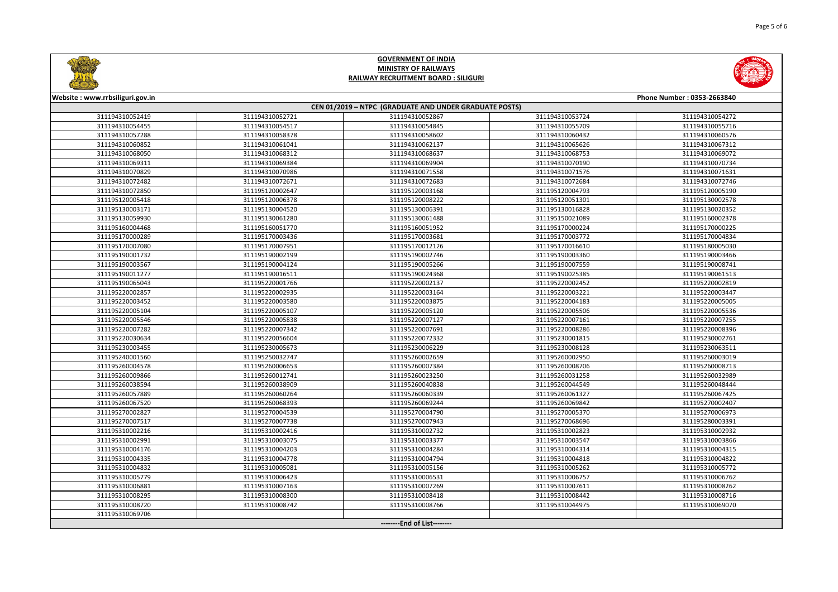



| Website: www.rrbsiliguri.gov.in |                 |                                                        |                 | Phone Number: 0353-2663840 |
|---------------------------------|-----------------|--------------------------------------------------------|-----------------|----------------------------|
|                                 |                 | CEN 01/2019 - NTPC (GRADUATE AND UNDER GRADUATE POSTS) |                 |                            |
| 311194310052419                 | 311194310052721 | 311194310052867                                        | 311194310053724 | 311194310054272            |
| 311194310054455                 | 311194310054517 | 311194310054845                                        | 311194310055709 | 311194310055716            |
| 311194310057288                 | 311194310058378 | 311194310058602                                        | 311194310060432 | 311194310060576            |
| 311194310060852                 | 311194310061041 | 311194310062137                                        | 311194310065626 | 311194310067312            |
| 311194310068050                 | 311194310068312 | 311194310068637                                        | 311194310068753 | 311194310069072            |
| 311194310069311                 | 311194310069384 | 311194310069904                                        | 311194310070190 | 311194310070734            |
| 311194310070829                 | 311194310070986 | 311194310071558                                        | 311194310071576 | 311194310071631            |
| 311194310072482                 | 311194310072671 | 311194310072683                                        | 311194310072684 | 311194310072746            |
| 311194310072850                 | 311195120002647 | 311195120003168                                        | 311195120004793 | 311195120005190            |
| 311195120005418                 | 311195120006378 | 311195120008222                                        | 311195120051301 | 311195130002578            |
| 311195130003171                 | 311195130004520 | 311195130006391                                        | 311195130016828 | 311195130020352            |
| 311195130059930                 | 311195130061280 | 311195130061488                                        | 311195150021089 | 311195160002378            |
| 311195160004468                 | 311195160051770 | 311195160051952                                        | 311195170000224 | 311195170000225            |
| 311195170000289                 | 311195170003436 | 311195170003681                                        | 311195170003772 | 311195170004834            |
| 311195170007080                 | 311195170007951 | 311195170012126                                        | 311195170016610 | 311195180005030            |
| 311195190001732                 | 311195190002199 | 311195190002746                                        | 311195190003360 | 311195190003466            |
| 311195190003567                 | 311195190004124 | 311195190005266                                        | 311195190007559 | 311195190008741            |
| 311195190011277                 | 311195190016511 | 311195190024368                                        | 311195190025385 | 311195190061513            |
| 311195190065043                 | 311195220001766 | 311195220002137                                        | 311195220002452 | 311195220002819            |
| 311195220002857                 | 311195220002935 | 311195220003164                                        | 311195220003221 | 311195220003447            |
| 311195220003452                 | 311195220003580 | 311195220003875                                        | 311195220004183 | 311195220005005            |
| 311195220005104                 | 311195220005107 | 311195220005120                                        | 311195220005506 | 311195220005536            |
| 311195220005546                 | 311195220005838 | 311195220007127                                        | 311195220007161 | 311195220007255            |
| 311195220007282                 | 311195220007342 | 311195220007691                                        | 311195220008286 | 311195220008396            |
| 311195220030634                 | 311195220056604 | 311195220072332                                        | 311195230001815 | 311195230002761            |
| 311195230003455                 | 311195230005673 | 311195230006229                                        | 311195230008128 | 311195230063511            |
| 311195240001560                 | 311195250032747 | 311195260002659                                        | 311195260002950 | 311195260003019            |
| 311195260004578                 | 311195260006653 | 311195260007384                                        | 311195260008706 | 311195260008713            |
| 311195260009866                 | 311195260012741 | 311195260023250                                        | 311195260031258 | 311195260032989            |
| 311195260038594                 | 311195260038909 | 311195260040838                                        | 311195260044549 | 311195260048444            |
| 311195260057889                 | 311195260060264 | 311195260060339                                        | 311195260061327 | 311195260067425            |
| 311195260067520                 | 311195260068393 | 311195260069244                                        | 311195260069842 | 311195270002407            |
| 311195270002827                 | 311195270004539 | 311195270004790                                        | 311195270005370 | 311195270006973            |
| 311195270007517                 | 311195270007738 | 311195270007943                                        | 311195270068696 | 311195280003391            |
| 311195310002216                 | 311195310002416 | 311195310002732                                        | 311195310002823 | 311195310002932            |
| 311195310002991                 | 311195310003075 | 311195310003377                                        | 311195310003547 | 311195310003866            |
| 311195310004176                 | 311195310004203 | 311195310004284                                        | 311195310004314 | 311195310004315            |
| 311195310004335                 | 311195310004778 | 311195310004794                                        | 311195310004818 | 311195310004822            |
| 311195310004832                 | 311195310005081 | 311195310005156                                        | 311195310005262 | 311195310005772            |
| 311195310005779                 | 311195310006423 | 311195310006531                                        | 311195310006757 | 311195310006762            |
| 311195310006881                 | 311195310007163 | 311195310007269                                        | 311195310007611 | 311195310008262            |
| 311195310008295                 | 311195310008300 | 311195310008418                                        | 311195310008442 | 311195310008716            |
| 311195310008720                 | 311195310008742 | 311195310008766                                        | 311195310044975 | 311195310069070            |
| 311195310069706                 |                 |                                                        |                 |                            |
|                                 |                 | --------End of List--------                            |                 |                            |